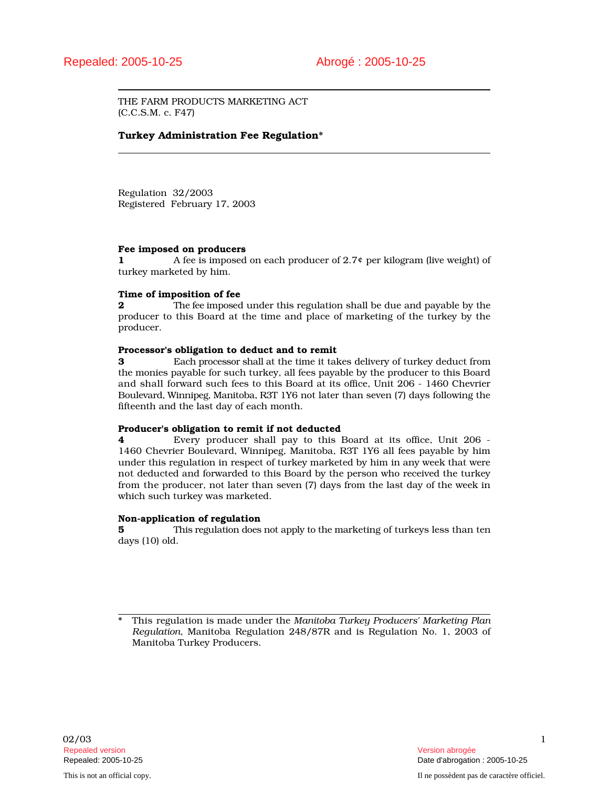THE FARM PRODUCTS MARKETING ACT (C.C.S.M. c. F47)

# Turkey Administration Fee Regulation\*

Regulation 32/2003 Registered February 17, 2003

### Fee imposed on producers

1 A fee is imposed on each producer of 2.7¢ per kilogram (live weight) of turkey marketed by him.

# Time of imposition of fee

**2** The fee imposed under this regulation shall be due and payable by the producer to this Board at the time and place of marketing of the turkey by the producer.

## Processor's obligation to deduct and to remit

3 Each processor shall at the time it takes delivery of turkey deduct from the monies payable for such turkey, all fees payable by the producer to this Board and shall forward such fees to this Board at its office, Unit 206 - 1460 Chevrier Boulevard, Winnipeg, Manitoba, R3T 1Y6 not later than seven (7) days following the fifteenth and the last day of each month.

### Producer's obligation to remit if not deducted

4 Every producer shall pay to this Board at its office, Unit 206 - 1460 Chevrier Boulevard, Winnipeg, Manitoba, R3T 1Y6 all fees payable by him under this regulation in respect of turkey marketed by him in any week that were not deducted and forwarded to this Board by the person who received the turkey from the producer, not later than seven (7) days from the last day of the week in which such turkey was marketed.

### Non-application of regulation

5 This regulation does not apply to the marketing of turkeys less than ten days (10) old.

\* This regulation is made under the *Manitoba Turkey Producers' Marketing Plan Regulation*, Manitoba Regulation 248/87R and is Regulation No. 1, 2003 of Manitoba Turkey Producers.